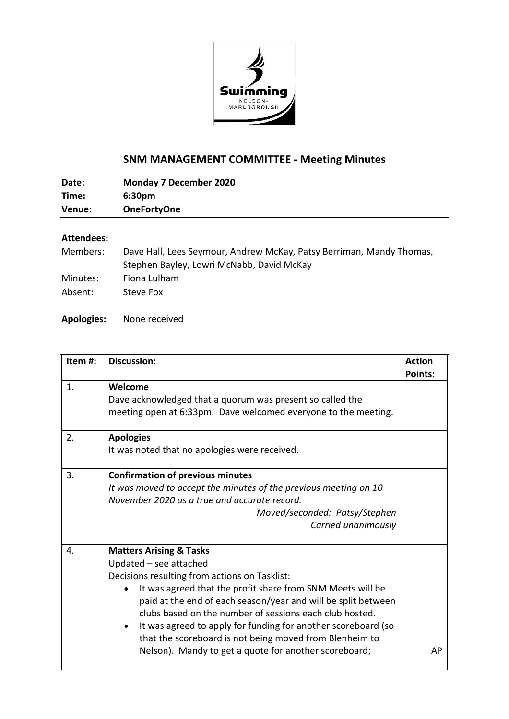

## **SNM MANAGEMENT COMMITTEE - Meeting Minutes**

| Date:  | <b>Monday 7 December 2020</b> |
|--------|-------------------------------|
| Time:  | 6:30 <sub>pm</sub>            |
| Venue: | <b>OneFortyOne</b>            |

## **Attendees:**

| Members: | Dave Hall, Lees Seymour, Andrew McKay, Patsy Berriman, Mandy Thomas, |
|----------|----------------------------------------------------------------------|
|          | Stephen Bayley, Lowri McNabb, David McKay                            |
| Minutes: | Fiona Lulham                                                         |
| Absent:  | Steve Fox                                                            |

**Apologies:** None received

| Item #: | <b>Discussion:</b>                                                                                                                                                                                                                                                                                                                                                                                                                                                                                        | <b>Action</b>  |
|---------|-----------------------------------------------------------------------------------------------------------------------------------------------------------------------------------------------------------------------------------------------------------------------------------------------------------------------------------------------------------------------------------------------------------------------------------------------------------------------------------------------------------|----------------|
| 1.      | Welcome<br>Dave acknowledged that a quorum was present so called the<br>meeting open at 6:33pm. Dave welcomed everyone to the meeting.                                                                                                                                                                                                                                                                                                                                                                    | <b>Points:</b> |
| 2.      | <b>Apologies</b><br>It was noted that no apologies were received.                                                                                                                                                                                                                                                                                                                                                                                                                                         |                |
| 3.      | <b>Confirmation of previous minutes</b><br>It was moved to accept the minutes of the previous meeting on 10<br>November 2020 as a true and accurate record.<br>Moved/seconded: Patsy/Stephen<br>Carried unanimously                                                                                                                                                                                                                                                                                       |                |
| 4.      | <b>Matters Arising &amp; Tasks</b><br>Updated - see attached<br>Decisions resulting from actions on Tasklist:<br>It was agreed that the profit share from SNM Meets will be<br>paid at the end of each season/year and will be split between<br>clubs based on the number of sessions each club hosted.<br>It was agreed to apply for funding for another scoreboard (so<br>$\bullet$<br>that the scoreboard is not being moved from Blenheim to<br>Nelson). Mandy to get a quote for another scoreboard; | AP             |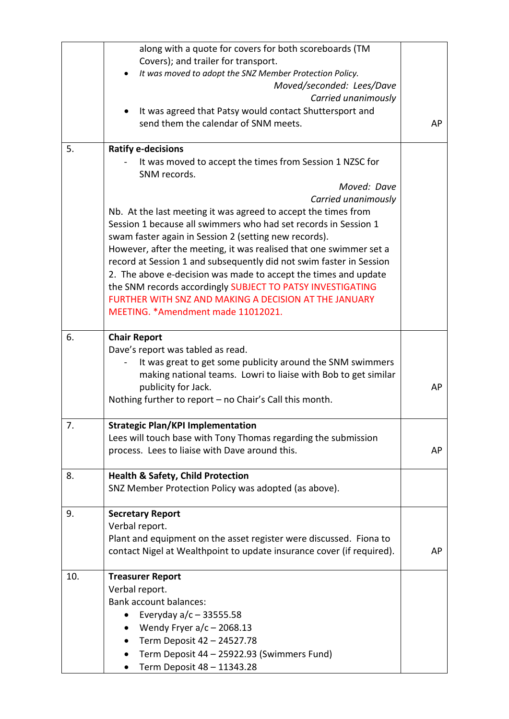|     | along with a quote for covers for both scoreboards (TM<br>Covers); and trailer for transport.<br>It was moved to adopt the SNZ Member Protection Policy.                                   |    |
|-----|--------------------------------------------------------------------------------------------------------------------------------------------------------------------------------------------|----|
|     | Moved/seconded: Lees/Dave                                                                                                                                                                  |    |
|     | Carried unanimously<br>It was agreed that Patsy would contact Shuttersport and                                                                                                             |    |
|     | send them the calendar of SNM meets.                                                                                                                                                       | AP |
| 5.  | <b>Ratify e-decisions</b><br>It was moved to accept the times from Session 1 NZSC for<br>SNM records.                                                                                      |    |
|     | Moved: Dave                                                                                                                                                                                |    |
|     | Carried unanimously                                                                                                                                                                        |    |
|     | Nb. At the last meeting it was agreed to accept the times from<br>Session 1 because all swimmers who had set records in Session 1<br>swam faster again in Session 2 (setting new records). |    |
|     | However, after the meeting, it was realised that one swimmer set a                                                                                                                         |    |
|     | record at Session 1 and subsequently did not swim faster in Session                                                                                                                        |    |
|     | 2. The above e-decision was made to accept the times and update                                                                                                                            |    |
|     | the SNM records accordingly SUBJECT TO PATSY INVESTIGATING<br>FURTHER WITH SNZ AND MAKING A DECISION AT THE JANUARY                                                                        |    |
|     | MEETING. * Amendment made 11012021.                                                                                                                                                        |    |
|     |                                                                                                                                                                                            |    |
| 6.  | <b>Chair Report</b>                                                                                                                                                                        |    |
|     | Dave's report was tabled as read.<br>It was great to get some publicity around the SNM swimmers                                                                                            |    |
|     | making national teams. Lowri to liaise with Bob to get similar                                                                                                                             |    |
|     | publicity for Jack.                                                                                                                                                                        | AP |
|     | Nothing further to report - no Chair's Call this month.                                                                                                                                    |    |
| 7.  | <b>Strategic Plan/KPI Implementation</b>                                                                                                                                                   |    |
|     | Lees will touch base with Tony Thomas regarding the submission                                                                                                                             |    |
|     | process. Lees to liaise with Dave around this.                                                                                                                                             | AP |
| 8.  | <b>Health &amp; Safety, Child Protection</b>                                                                                                                                               |    |
|     | SNZ Member Protection Policy was adopted (as above).                                                                                                                                       |    |
| 9.  | <b>Secretary Report</b>                                                                                                                                                                    |    |
|     | Verbal report.                                                                                                                                                                             |    |
|     | Plant and equipment on the asset register were discussed. Fiona to<br>contact Nigel at Wealthpoint to update insurance cover (if required).                                                | AP |
|     |                                                                                                                                                                                            |    |
| 10. | <b>Treasurer Report</b>                                                                                                                                                                    |    |
|     | Verbal report.                                                                                                                                                                             |    |
|     | <b>Bank account balances:</b>                                                                                                                                                              |    |
|     | Everyday $a/c - 33555.58$                                                                                                                                                                  |    |
|     | Wendy Fryer $a/c - 2068.13$<br>Term Deposit 42 - 24527.78                                                                                                                                  |    |
|     | Term Deposit 44 - 25922.93 (Swimmers Fund)                                                                                                                                                 |    |
|     | Term Deposit 48 - 11343.28<br>$\bullet$                                                                                                                                                    |    |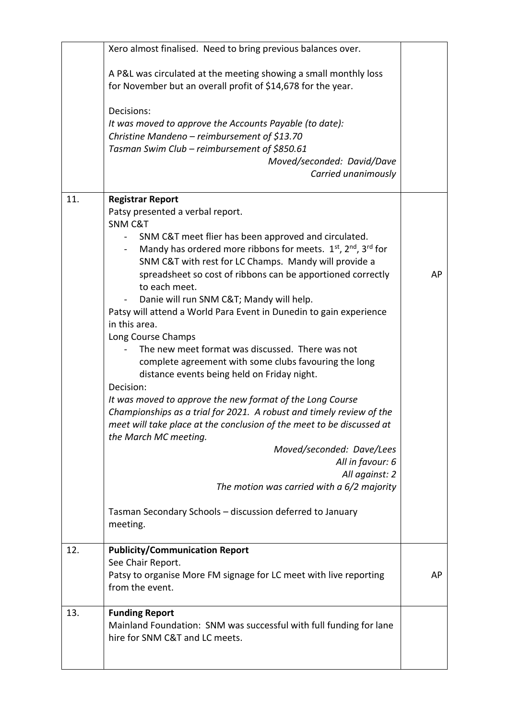|     | Xero almost finalised. Need to bring previous balances over.                                                                                                                                                                                                                                                                                                                                                                                                                                                                                                                                                                                                                                                                                                                                                                                                                                                                                 |    |
|-----|----------------------------------------------------------------------------------------------------------------------------------------------------------------------------------------------------------------------------------------------------------------------------------------------------------------------------------------------------------------------------------------------------------------------------------------------------------------------------------------------------------------------------------------------------------------------------------------------------------------------------------------------------------------------------------------------------------------------------------------------------------------------------------------------------------------------------------------------------------------------------------------------------------------------------------------------|----|
|     | A P&L was circulated at the meeting showing a small monthly loss<br>for November but an overall profit of \$14,678 for the year.                                                                                                                                                                                                                                                                                                                                                                                                                                                                                                                                                                                                                                                                                                                                                                                                             |    |
|     | Decisions:<br>It was moved to approve the Accounts Payable (to date):<br>Christine Mandeno - reimbursement of \$13.70<br>Tasman Swim Club - reimbursement of \$850.61<br>Moved/seconded: David/Dave<br>Carried unanimously                                                                                                                                                                                                                                                                                                                                                                                                                                                                                                                                                                                                                                                                                                                   |    |
| 11. | <b>Registrar Report</b>                                                                                                                                                                                                                                                                                                                                                                                                                                                                                                                                                                                                                                                                                                                                                                                                                                                                                                                      |    |
|     | Patsy presented a verbal report.<br><b>SNM C&amp;T</b><br>SNM C&T meet flier has been approved and circulated.<br>Mandy has ordered more ribbons for meets. $1^{st}$ , $2^{nd}$ , $3^{rd}$ for<br>SNM C&T with rest for LC Champs. Mandy will provide a<br>spreadsheet so cost of ribbons can be apportioned correctly<br>to each meet.<br>Danie will run SNM C&T Mandy will help.<br>Patsy will attend a World Para Event in Dunedin to gain experience<br>in this area.<br>Long Course Champs<br>The new meet format was discussed. There was not<br>complete agreement with some clubs favouring the long<br>distance events being held on Friday night.<br>Decision:<br>It was moved to approve the new format of the Long Course<br>Championships as a trial for 2021. A robust and timely review of the<br>meet will take place at the conclusion of the meet to be discussed at<br>the March MC meeting.<br>Moved/seconded: Dave/Lees | AP |
|     | All in favour: 6<br>All against: 2                                                                                                                                                                                                                                                                                                                                                                                                                                                                                                                                                                                                                                                                                                                                                                                                                                                                                                           |    |
|     | The motion was carried with a 6/2 majority                                                                                                                                                                                                                                                                                                                                                                                                                                                                                                                                                                                                                                                                                                                                                                                                                                                                                                   |    |
|     | Tasman Secondary Schools - discussion deferred to January<br>meeting.                                                                                                                                                                                                                                                                                                                                                                                                                                                                                                                                                                                                                                                                                                                                                                                                                                                                        |    |
| 12. | <b>Publicity/Communication Report</b><br>See Chair Report.                                                                                                                                                                                                                                                                                                                                                                                                                                                                                                                                                                                                                                                                                                                                                                                                                                                                                   | AP |
|     | Patsy to organise More FM signage for LC meet with live reporting<br>from the event.                                                                                                                                                                                                                                                                                                                                                                                                                                                                                                                                                                                                                                                                                                                                                                                                                                                         |    |
| 13. | <b>Funding Report</b><br>Mainland Foundation: SNM was successful with full funding for lane<br>hire for SNM C&T and LC meets.                                                                                                                                                                                                                                                                                                                                                                                                                                                                                                                                                                                                                                                                                                                                                                                                                |    |